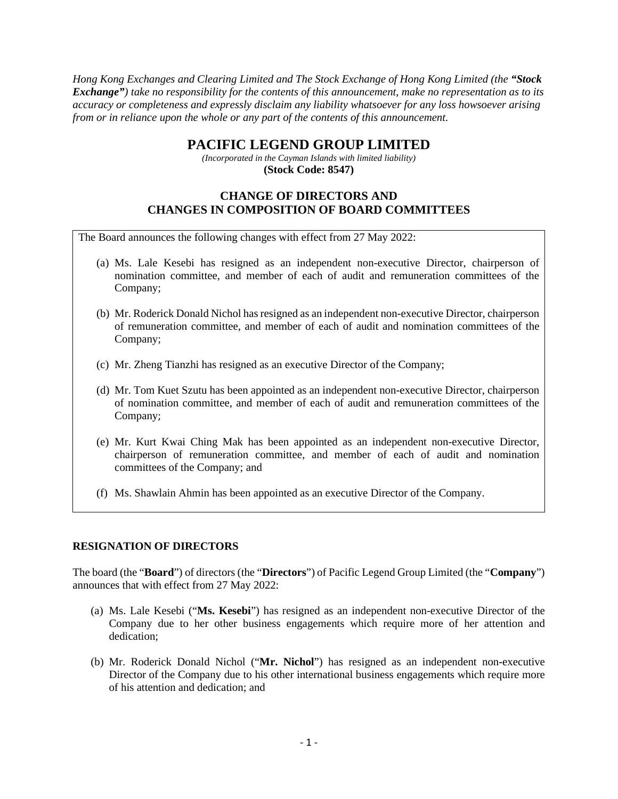*Hong Kong Exchanges and Clearing Limited and The Stock Exchange of Hong Kong Limited (the "Stock Exchange") take no responsibility for the contents of this announcement, make no representation as to its accuracy or completeness and expressly disclaim any liability whatsoever for any loss howsoever arising from or in reliance upon the whole or any part of the contents of this announcement.* 

# **PACIFIC LEGEND GROUP LIMITED**

*(Incorporated in the Cayman Islands with limited liability)* **(Stock Code: 8547)**

## **CHANGE OF DIRECTORS AND CHANGES IN COMPOSITION OF BOARD COMMITTEES**

The Board announces the following changes with effect from 27 May 2022:

- (a) Ms. Lale Kesebi has resigned as an independent non-executive Director, chairperson of nomination committee, and member of each of audit and remuneration committees of the Company;
- (b) Mr. Roderick Donald Nichol has resigned as an independent non-executive Director, chairperson of remuneration committee, and member of each of audit and nomination committees of the Company;
- (c) Mr. Zheng Tianzhi has resigned as an executive Director of the Company;
- (d) Mr. Tom Kuet Szutu has been appointed as an independent non-executive Director, chairperson of nomination committee, and member of each of audit and remuneration committees of the Company;
- (e) Mr. Kurt Kwai Ching Mak has been appointed as an independent non-executive Director, chairperson of remuneration committee, and member of each of audit and nomination committees of the Company; and
- (f) Ms. Shawlain Ahmin has been appointed as an executive Director of the Company.

#### **RESIGNATION OF DIRECTORS**

The board (the "**Board**") of directors (the "**Directors**") of Pacific Legend Group Limited (the "**Company**") announces that with effect from 27 May 2022:

- (a) Ms. Lale Kesebi ("**Ms. Kesebi**") has resigned as an independent non-executive Director of the Company due to her other business engagements which require more of her attention and dedication;
- (b) Mr. Roderick Donald Nichol ("**Mr. Nichol**") has resigned as an independent non-executive Director of the Company due to his other international business engagements which require more of his attention and dedication; and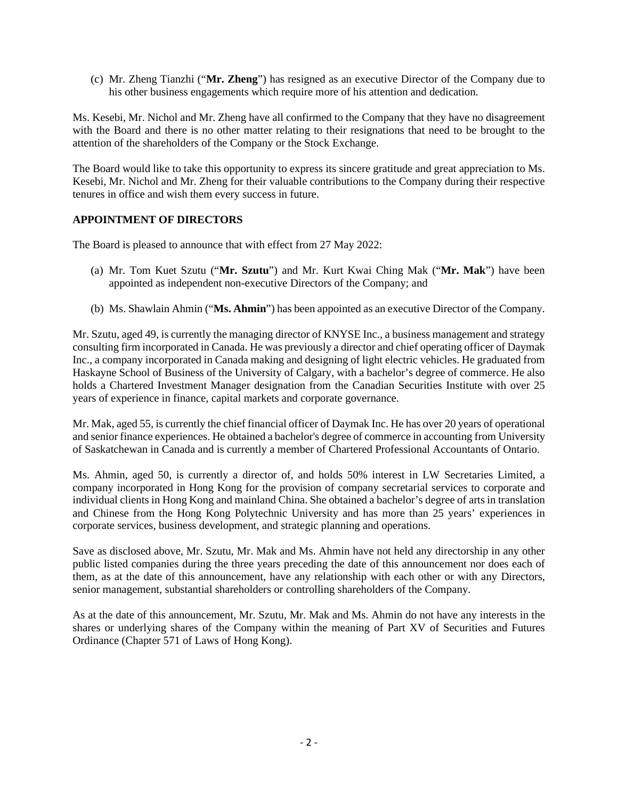(c) Mr. Zheng Tianzhi ("**Mr. Zheng**") has resigned as an executive Director of the Company due to his other business engagements which require more of his attention and dedication.

Ms. Kesebi, Mr. Nichol and Mr. Zheng have all confirmed to the Company that they have no disagreement with the Board and there is no other matter relating to their resignations that need to be brought to the attention of the shareholders of the Company or the Stock Exchange.

The Board would like to take this opportunity to express its sincere gratitude and great appreciation to Ms. Kesebi, Mr. Nichol and Mr. Zheng for their valuable contributions to the Company during their respective tenures in office and wish them every success in future.

#### **APPOINTMENT OF DIRECTORS**

The Board is pleased to announce that with effect from 27 May 2022:

- (a) Mr. Tom Kuet Szutu ("**Mr. Szutu**") and Mr. Kurt Kwai Ching Mak ("**Mr. Mak**") have been appointed as independent non-executive Directors of the Company; and
- (b) Ms. Shawlain Ahmin ("**Ms. Ahmin**") has been appointed as an executive Director of the Company.

Mr. Szutu, aged 49, is currently the managing director of KNYSE Inc., a business management and strategy consulting firm incorporated in Canada. He was previously a director and chief operating officer of Daymak Inc., a company incorporated in Canada making and designing of light electric vehicles. He graduated from Haskayne School of Business of the University of Calgary, with a bachelor's degree of commerce. He also holds a Chartered Investment Manager designation from the Canadian Securities Institute with over 25 years of experience in finance, capital markets and corporate governance.

Mr. Mak, aged 55, is currently the chief financial officer of Daymak Inc. He has over 20 years of operational and senior finance experiences. He obtained a bachelor's degree of commerce in accounting from University of Saskatchewan in Canada and is currently a member of Chartered Professional Accountants of Ontario.

Ms. Ahmin, aged 50, is currently a director of, and holds 50% interest in LW Secretaries Limited, a company incorporated in Hong Kong for the provision of company secretarial services to corporate and individual clients in Hong Kong and mainland China. She obtained a bachelor's degree of arts in translation and Chinese from the Hong Kong Polytechnic University and has more than 25 years' experiences in corporate services, business development, and strategic planning and operations.

Save as disclosed above, Mr. Szutu, Mr. Mak and Ms. Ahmin have not held any directorship in any other public listed companies during the three years preceding the date of this announcement nor does each of them, as at the date of this announcement, have any relationship with each other or with any Directors, senior management, substantial shareholders or controlling shareholders of the Company.

As at the date of this announcement, Mr. Szutu, Mr. Mak and Ms. Ahmin do not have any interests in the shares or underlying shares of the Company within the meaning of Part XV of Securities and Futures Ordinance (Chapter 571 of Laws of Hong Kong).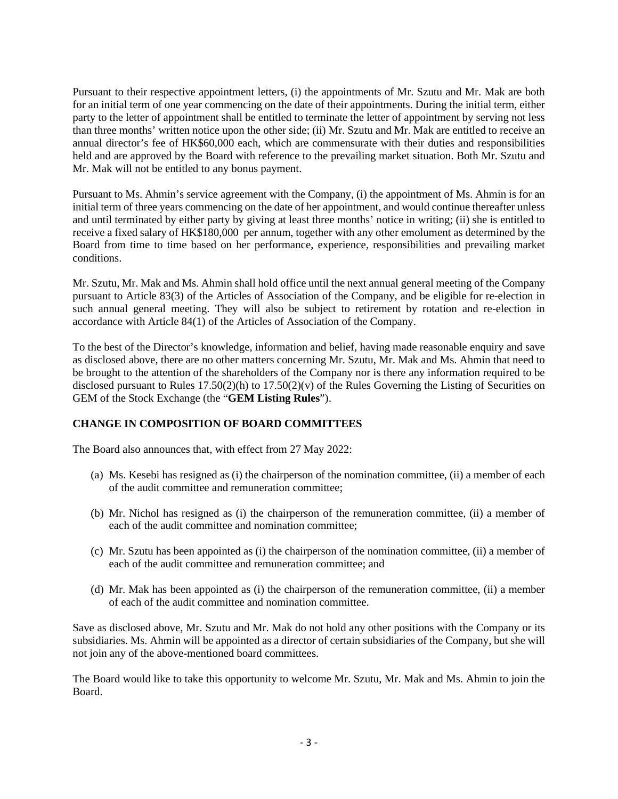Pursuant to their respective appointment letters, (i) the appointments of Mr. Szutu and Mr. Mak are both for an initial term of one year commencing on the date of their appointments. During the initial term, either party to the letter of appointment shall be entitled to terminate the letter of appointment by serving not less than three months' written notice upon the other side; (ii) Mr. Szutu and Mr. Mak are entitled to receive an annual director's fee of HK\$60,000 each, which are commensurate with their duties and responsibilities held and are approved by the Board with reference to the prevailing market situation. Both Mr. Szutu and Mr. Mak will not be entitled to any bonus payment.

Pursuant to Ms. Ahmin's service agreement with the Company, (i) the appointment of Ms. Ahmin is for an initial term of three years commencing on the date of her appointment, and would continue thereafter unless and until terminated by either party by giving at least three months' notice in writing; (ii) she is entitled to receive a fixed salary of HK\$180,000 per annum, together with any other emolument as determined by the Board from time to time based on her performance, experience, responsibilities and prevailing market conditions.

Mr. Szutu, Mr. Mak and Ms. Ahmin shall hold office until the next annual general meeting of the Company pursuant to Article 83(3) of the Articles of Association of the Company, and be eligible for re-election in such annual general meeting. They will also be subject to retirement by rotation and re-election in accordance with Article 84(1) of the Articles of Association of the Company.

To the best of the Director's knowledge, information and belief, having made reasonable enquiry and save as disclosed above, there are no other matters concerning Mr. Szutu, Mr. Mak and Ms. Ahmin that need to be brought to the attention of the shareholders of the Company nor is there any information required to be disclosed pursuant to Rules  $17.50(2)(h)$  to  $17.50(2)(v)$  of the Rules Governing the Listing of Securities on GEM of the Stock Exchange (the "**GEM Listing Rules**").

### **CHANGE IN COMPOSITION OF BOARD COMMITTEES**

The Board also announces that, with effect from 27 May 2022:

- (a) Ms. Kesebi has resigned as (i) the chairperson of the nomination committee, (ii) a member of each of the audit committee and remuneration committee;
- (b) Mr. Nichol has resigned as (i) the chairperson of the remuneration committee, (ii) a member of each of the audit committee and nomination committee;
- (c) Mr. Szutu has been appointed as (i) the chairperson of the nomination committee, (ii) a member of each of the audit committee and remuneration committee; and
- (d) Mr. Mak has been appointed as (i) the chairperson of the remuneration committee, (ii) a member of each of the audit committee and nomination committee.

Save as disclosed above, Mr. Szutu and Mr. Mak do not hold any other positions with the Company or its subsidiaries. Ms. Ahmin will be appointed as a director of certain subsidiaries of the Company, but she will not join any of the above-mentioned board committees.

The Board would like to take this opportunity to welcome Mr. Szutu, Mr. Mak and Ms. Ahmin to join the Board.